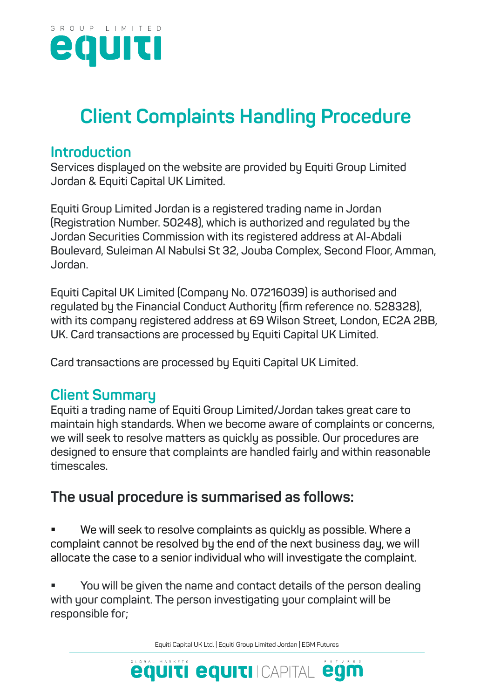

## **Client Complaints Handling Procedure**

## **Introduction**

**Services displayed on the website are provided by Equiti Group Limited Jordan & Equiti Capital UK Limited.**

**Equiti Group Limited Jordan is a registered trading name in Jordan (Registration Number. 50248), which is authorized and regulated by the Jordan Securities Commission with its registered address at Al-Abdali Boulevard, Suleiman Al Nabulsi St 32, Jouba Complex, Second Floor, Amman, Jordan.**

**Equiti Capital UK Limited (Company No. 07216039) is authorised and regulated by the Financial Conduct Authority (firm reference no. 528328), with its company registered address at 69 Wilson Street, London, EC2A 2BB, UK. Card transactions are processed by Equiti Capital UK Limited.**

**Card transactions are processed by Equiti Capital UK Limited.**

## **Client Summary**

**Equiti a trading name of Equiti Group Limited/Jordan takes great care to maintain high standards. When we become aware of complaints or concerns, we will seek to resolve matters as quickly as possible. Our procedures are designed to ensure that complaints are handled fairly and within reasonable timescales.** 

## **The usual procedure is summarised as follows:**

 **We will seek to resolve complaints as quickly as possible. Where a complaint cannot be resolved by the end of the next business day, we will allocate the case to a senior individual who will investigate the complaint.**

 **You will be given the name and contact details of the person dealing with your complaint. The person investigating your complaint will be responsible for;**

Equiti Capital UK Ltd. | Equiti Group Limited Jordan | EGM Futures

**equiti equiti CAPITAL egm**